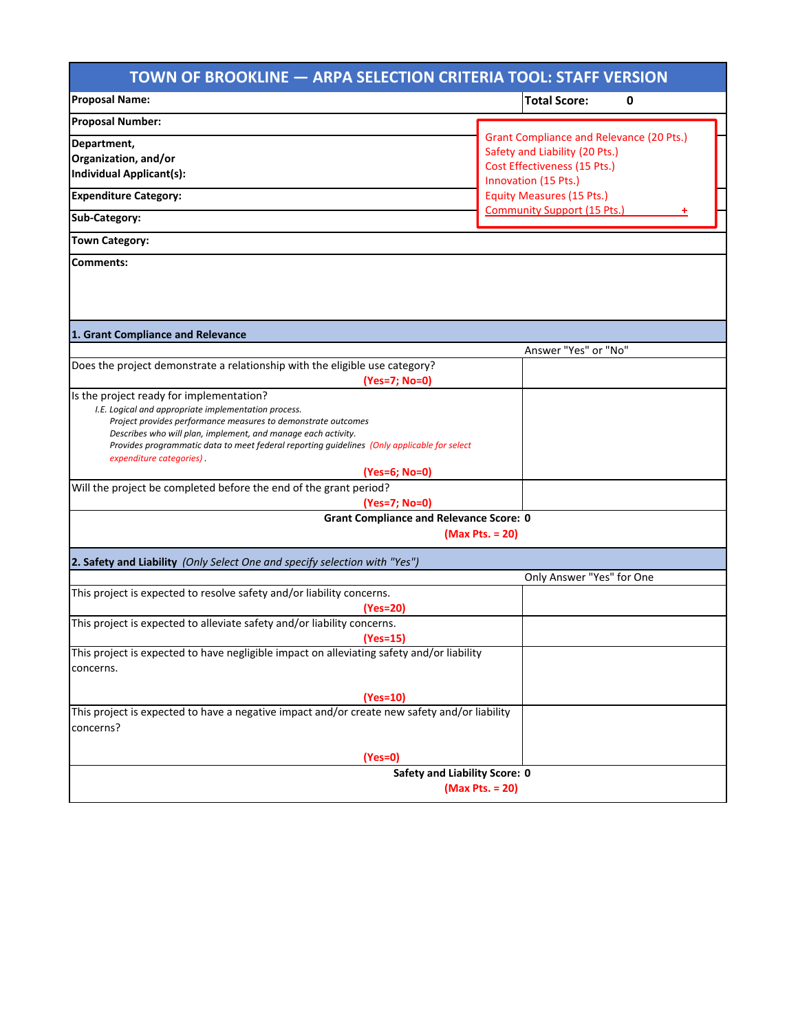| TOWN OF BROOKLINE - ARPA SELECTION CRITERIA TOOL: STAFF VERSION                                                         |                                                      |
|-------------------------------------------------------------------------------------------------------------------------|------------------------------------------------------|
| <b>Proposal Name:</b>                                                                                                   | <b>Total Score:</b><br>0                             |
| <b>Proposal Number:</b>                                                                                                 |                                                      |
| Department,                                                                                                             | <b>Grant Compliance and Relevance (20 Pts.)</b>      |
| Organization, and/or                                                                                                    | Safety and Liability (20 Pts.)                       |
| <b>Individual Applicant(s):</b>                                                                                         | Cost Effectiveness (15 Pts.)<br>Innovation (15 Pts.) |
| <b>Expenditure Category:</b>                                                                                            | <b>Equity Measures (15 Pts.)</b>                     |
| Sub-Category:                                                                                                           | <b>Community Support (15 Pts.)</b>                   |
| <b>Town Category:</b>                                                                                                   |                                                      |
| Comments:                                                                                                               |                                                      |
|                                                                                                                         |                                                      |
|                                                                                                                         |                                                      |
|                                                                                                                         |                                                      |
| 1. Grant Compliance and Relevance                                                                                       | Answer "Yes" or "No"                                 |
| Does the project demonstrate a relationship with the eligible use category?                                             |                                                      |
| (Yes=7; No=0)                                                                                                           |                                                      |
| Is the project ready for implementation?                                                                                |                                                      |
| I.E. Logical and appropriate implementation process.                                                                    |                                                      |
| Project provides performance measures to demonstrate outcomes                                                           |                                                      |
| Describes who will plan, implement, and manage each activity.                                                           |                                                      |
| Provides programmatic data to meet federal reporting guidelines (Only applicable for select<br>expenditure categories). |                                                      |
| (Yes=6; No=0)                                                                                                           |                                                      |
| Will the project be completed before the end of the grant period?                                                       |                                                      |
| (Yes=7; No=0)                                                                                                           |                                                      |
| <b>Grant Compliance and Relevance Score: 0</b>                                                                          |                                                      |
|                                                                                                                         | (Max Pts. = 20)                                      |
| 2. Safety and Liability (Only Select One and specify selection with "Yes")                                              |                                                      |
|                                                                                                                         | Only Answer "Yes" for One                            |
| This project is expected to resolve safety and/or liability concerns.                                                   |                                                      |
| (Yes=20)                                                                                                                |                                                      |
| This project is expected to alleviate safety and/or liability concerns.                                                 |                                                      |
| (Yes=15)                                                                                                                |                                                      |
| This project is expected to have negligible impact on alleviating safety and/or liability                               |                                                      |
| concerns.                                                                                                               |                                                      |
| $(Yes=10)$                                                                                                              |                                                      |
| This project is expected to have a negative impact and/or create new safety and/or liability                            |                                                      |
| concerns?                                                                                                               |                                                      |
|                                                                                                                         |                                                      |
| $(Yes=0)$                                                                                                               |                                                      |
| <b>Safety and Liability Score: 0</b>                                                                                    |                                                      |
| (Max Pts. = 20)                                                                                                         |                                                      |